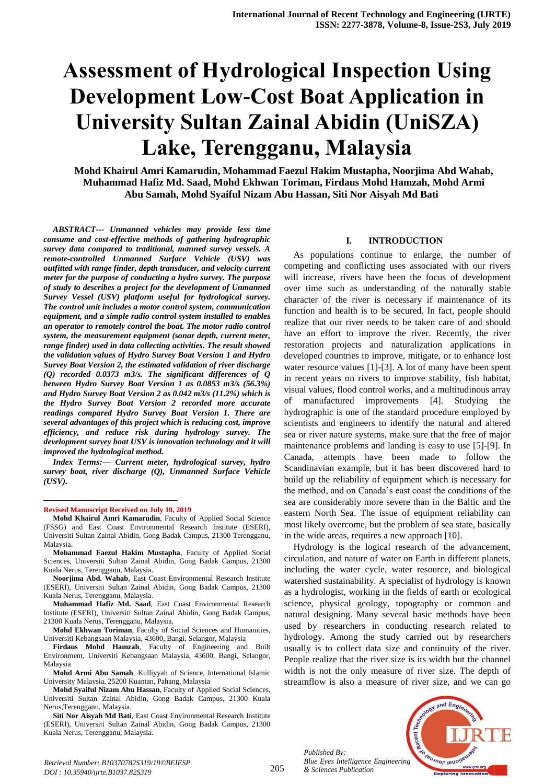# **Assessment of Hydrological Inspection Using Development Low-Cost Boat Application in University Sultan Zainal Abidin (UniSZA) Lake, Terengganu, Malaysia**

**Mohd Khairul Amri Kamarudin, Mohammad Faezul Hakim Mustapha, Noorjima Abd Wahab, Muhammad Hafiz Md. Saad, Mohd Ekhwan Toriman, Firdaus Mohd Hamzah, Mohd Armi Abu Samah, Mohd Syaiful Nizam Abu Hassan, Siti Nor Aisyah Md Bati**

*ABSTRACT--- Unmanned vehicles may provide less time consume and cost-effective methods of gathering hydrographic survey data compared to traditional, manned survey vessels. A remote-controlled Unmanned Surface Vehicle (USV) was outfitted with range finder, depth transducer, and velocity current meter for the purpose of conducting a hydro survey. The purpose of study to describes a project for the development of Unmanned Survey Vessel (USV) platform useful for hydrological survey. The control unit includes a motor control system, communication equipment, and a simple radio control system installed to enables an operator to remotely control the boat. The motor radio control system, the measurement equipment (sonar depth, current meter, range finder) used in data collecting activities. The result showed the validation values of Hydro Survey Boat Version 1 and Hydro Survey Boat Version 2, the estimated validation of river discharge (Q) recorded 0.0373 m3/s. The significant differences of Q between Hydro Survey Boat Version 1 as 0.0853 m3/s (56.3%) and Hydro Survey Boat Version 2 as 0.042 m3/s (11.2%) which is the Hydro Survey Boat Version 2 recorded more accurate readings compared Hydro Survey Boat Version 1. There are several advantages of this project which is reducing cost, improve efficiency, and reduce risk during hydrology survey. The development survey boat USV is innovation technology and it will improved the hydrological method.*

*Index Terms:— Current meter, hydrological survey, hydro survey boat, river discharge (Q), Unmanned Surface Vehicle (USV).*

**Revised Manuscript Received on July 10, 2019**

1

**Mohd Khairul Amri Kamarudin**, Faculty of Applied Social Science (FSSG) and East Coast Environmental Research Institute (ESERI), Universiti Sultan Zainal Abidin, Gong Badak Campus, 21300 Terengganu, Malaysia.

**Mohammad Faezul Hakim Mustapha**, Faculty of Applied Social Sciences, Universiti Sultan Zainal Abidin, Gong Badak Campus, 21300 Kuala Nerus, Terengganu, Malaysia.

**Noorjima Abd. Wahab**, East Coast Environmental Research Institute (ESERI), Universiti Sultan Zainal Abidin, Gong Badak Campus, 21300 Kuala Nerus, Terengganu, Malaysia.

**Muhammad Hafiz Md. Saad**, East Coast Environmental Research Institute (ESERI), Universiti Sultan Zainal Abidin, Gong Badak Campus, 21300 Kuala Nerus, Terengganu, Malaysia.

**Mohd Ekhwan Toriman**, Faculty of Social Sciences and Humanities, Universiti Kebangsaan Malaysia, 43600, Bangi, Selangor, Malaysia

**Firdaus Mohd Hamzah**, Faculty of Engineering and Built Environment, Universiti Kebangsaan Malaysia, 43600, Bangi, Selangor, Malaysia

**Mohd Armi Abu Samah**, Kulliyyah of Science, International Islamic University Malaysia, 25200 Kuantan, Pahang, Malaysia

**Mohd Syaiful Nizam Abu Hassan**, Faculty of Applied Social Sciences, Universiti Sultan Zainal Abidin, Gong Badak Campus, 21300 Kuala Nerus,Terengganu, Malaysia.

**Siti Nor Aisyah Md Bati**, East Coast Environmental Research Institute (ESERI), Universiti Sultan Zainal Abidin, Gong Badak Campus, 21300 Kuala Nerus, Terengganu, Malaysia.

#### **I. INTRODUCTION**

As populations continue to enlarge, the number of competing and conflicting uses associated with our rivers will increase, rivers have been the focus of development over time such as understanding of the naturally stable character of the river is necessary if maintenance of its function and health is to be secured. In fact, people should realize that our river needs to be taken care of and should have an effort to improve the river. Recently, the river restoration projects and naturalization applications in developed countries to improve, mitigate, or to enhance lost water resource values [1]-[3]. A lot of many have been spent in recent years on rivers to improve stability, fish habitat, visual values, flood control works, and a multitudinous array of manufactured improvements [4]. Studying the hydrographic is one of the standard procedure employed by scientists and engineers to identify the natural and altered sea or river nature systems, make sure that the free of major maintenance problems and landing is easy to use [5]-[9]. In Canada, attempts have been made to follow the Scandinavian example, but it has been discovered hard to build up the reliability of equipment which is necessary for the method, and on Canada's east coast the conditions of the sea are considerably more severe than in the Baltic and the eastern North Sea. The issue of equipment reliability can most likely overcome, but the problem of sea state, basically in the wide areas, requires a new approach [10].

Hydrology is the logical research of the advancement, circulation, and nature of water on Earth in different planets, including the water cycle, water resource, and biological watershed sustainability. A specialist of hydrology is known as a hydrologist, working in the fields of earth or ecological science, physical geology, topography or common and natural designing. Many several basic methods have been used by researchers in conducting research related to hydrology. Among the study carried out by researchers usually is to collect data size and continuity of the river. People realize that the river size is its width but the channel width is not the only measure of river size. The depth of streamflow is also a measure of river size, and we can go

*Published By: Blue Eyes Intelligence Engineering & Sciences Publication* 

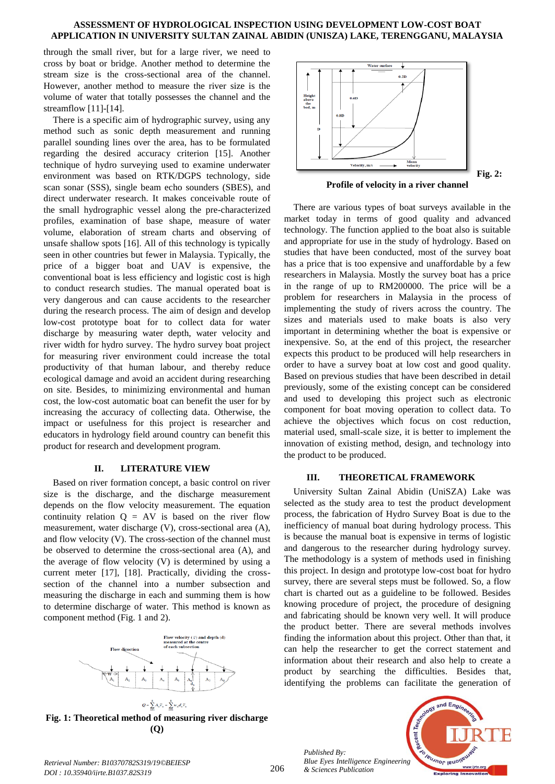through the small river, but for a large river, we need to cross by boat or bridge. Another method to determine the stream size is the cross-sectional area of the channel. However, another method to measure the river size is the volume of water that totally possesses the channel and the streamflow [11]-[14].

There is a specific aim of hydrographic survey, using any method such as sonic depth measurement and running parallel sounding lines over the area, has to be formulated regarding the desired accuracy criterion [15]. Another technique of hydro surveying used to examine underwater environment was based on RTK/DGPS technology, side scan sonar (SSS), single beam echo sounders (SBES), and direct underwater research. It makes conceivable route of the small hydrographic vessel along the pre-characterized profiles, examination of base shape, measure of water volume, elaboration of stream charts and observing of unsafe shallow spots [16]. All of this technology is typically seen in other countries but fewer in Malaysia. Typically, the price of a bigger boat and UAV is expensive, the conventional boat is less efficiency and logistic cost is high to conduct research studies. The manual operated boat is very dangerous and can cause accidents to the researcher during the research process. The aim of design and develop low-cost prototype boat for to collect data for water discharge by measuring water depth, water velocity and river width for hydro survey. The hydro survey boat project for measuring river environment could increase the total productivity of that human labour, and thereby reduce ecological damage and avoid an accident during researching on site. Besides, to minimizing environmental and human cost, the low-cost automatic boat can benefit the user for by increasing the accuracy of collecting data. Otherwise, the impact or usefulness for this project is researcher and educators in hydrology field around country can benefit this product for research and development program.

#### **II. LITERATURE VIEW**

Based on river formation concept, a basic control on river size is the discharge, and the discharge measurement depends on the flow velocity measurement. The equation continuity relation  $Q = AV$  is based on the river flow measurement, water discharge (V), cross-sectional area (A), and flow velocity (V). The cross-section of the channel must be observed to determine the cross-sectional area (A), and the average of flow velocity (V) is determined by using a current meter [17], [18]. Practically, dividing the crosssection of the channel into a number subsection and measuring the discharge in each and summing them is how to determine discharge of water. This method is known as component method (Fig. 1 and 2).



**Fig. 1: Theoretical method of measuring river discharge (Q)**



There are various types of boat surveys available in the market today in terms of good quality and advanced technology. The function applied to the boat also is suitable and appropriate for use in the study of hydrology. Based on studies that have been conducted, most of the survey boat has a price that is too expensive and unaffordable by a few researchers in Malaysia. Mostly the survey boat has a price in the range of up to RM200000. The price will be a problem for researchers in Malaysia in the process of implementing the study of rivers across the country. The sizes and materials used to make boats is also very important in determining whether the boat is expensive or inexpensive. So, at the end of this project, the researcher expects this product to be produced will help researchers in order to have a survey boat at low cost and good quality. Based on previous studies that have been described in detail previously, some of the existing concept can be considered and used to developing this project such as electronic component for boat moving operation to collect data. To achieve the objectives which focus on cost reduction, material used, small-scale size, it is better to implement the innovation of existing method, design, and technology into the product to be produced.

#### **III. THEORETICAL FRAMEWORK**

University Sultan Zainal Abidin (UniSZA) Lake was selected as the study area to test the product development process, the fabrication of Hydro Survey Boat is due to the inefficiency of manual boat during hydrology process. This is because the manual boat is expensive in terms of logistic and dangerous to the researcher during hydrology survey. The methodology is a system of methods used in finishing this project. In design and prototype low-cost boat for hydro survey, there are several steps must be followed. So, a flow chart is charted out as a guideline to be followed. Besides knowing procedure of project, the procedure of designing and fabricating should be known very well. It will produce the product better. There are several methods involves finding the information about this project. Other than that, it can help the researcher to get the correct statement and information about their research and also help to create a product by searching the difficulties. Besides that, identifying the problems can facilitate the generation of

*Published By: Blue Eyes Intelligence Engineering & Sciences Publication* 



*Retrieval Number: B10370782S319/19©BEIESP DOI : 10.35940/ijrte.B1037.82S319*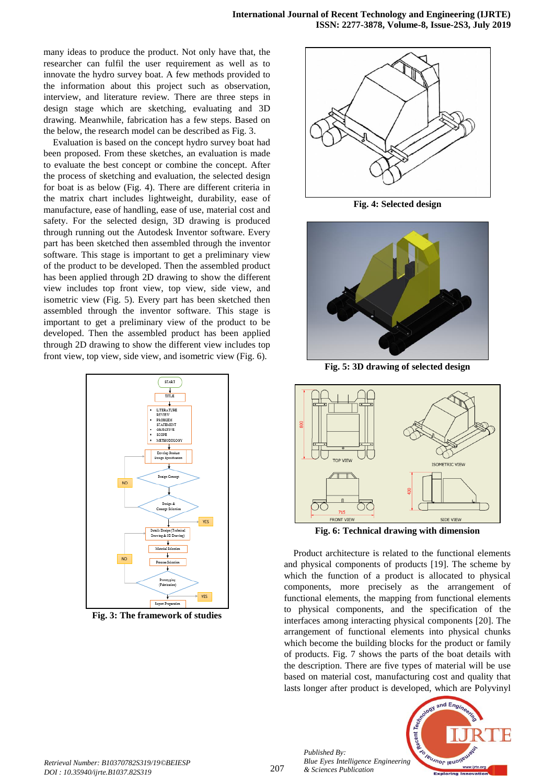many ideas to produce the product. Not only have that, the researcher can fulfil the user requirement as well as to innovate the hydro survey boat. A few methods provided to the information about this project such as observation, interview, and literature review. There are three steps in design stage which are sketching, evaluating and 3D drawing. Meanwhile, fabrication has a few steps. Based on the below, the research model can be described as Fig. 3.

Evaluation is based on the concept hydro survey boat had been proposed. From these sketches, an evaluation is made to evaluate the best concept or combine the concept. After the process of sketching and evaluation, the selected design for boat is as below (Fig. 4). There are different criteria in the matrix chart includes lightweight, durability, ease of manufacture, ease of handling, ease of use, material cost and safety. For the selected design, 3D drawing is produced through running out the Autodesk Inventor software. Every part has been sketched then assembled through the inventor software. This stage is important to get a preliminary view of the product to be developed. Then the assembled product has been applied through 2D drawing to show the different view includes top front view, top view, side view, and isometric view (Fig. 5). Every part has been sketched then assembled through the inventor software. This stage is important to get a preliminary view of the product to be developed. Then the assembled product has been applied through 2D drawing to show the different view includes top front view, top view, side view, and isometric view (Fig. 6).



**Fig. 3: The framework of studies**



**Fig. 4: Selected design**



**Fig. 5: 3D drawing of selected design**



**Fig. 6: Technical drawing with dimension**

Product architecture is related to the functional elements and physical components of products [19]. The scheme by which the function of a product is allocated to physical components, more precisely as the arrangement of functional elements, the mapping from functional elements to physical components, and the specification of the interfaces among interacting physical components [20]. The arrangement of functional elements into physical chunks which become the building blocks for the product or family of products. Fig. 7 shows the parts of the boat details with the description. There are five types of material will be use based on material cost, manufacturing cost and quality that lasts longer after product is developed, which are Polyvinyl



*Published By:*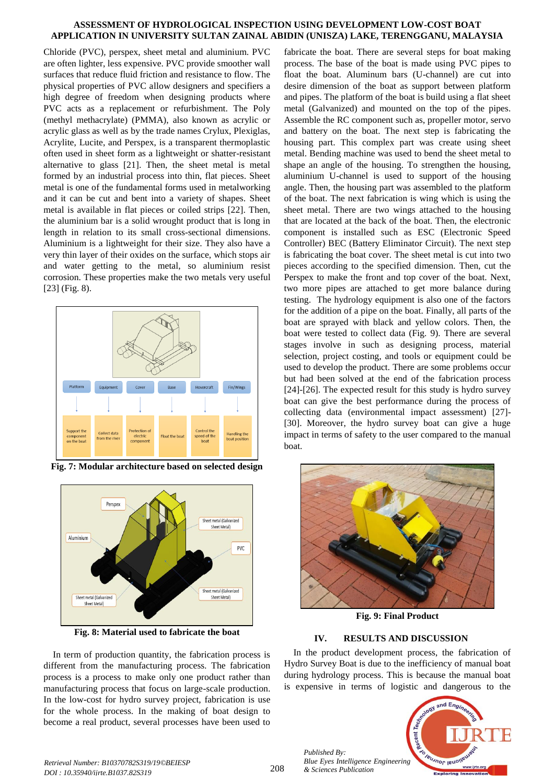Chloride (PVC), perspex, sheet metal and aluminium. PVC are often lighter, less expensive. PVC provide smoother wall surfaces that reduce fluid friction and resistance to flow. The physical properties of PVC allow designers and specifiers a high degree of freedom when designing products where PVC acts as a replacement or refurbishment. The Poly (methyl methacrylate) (PMMA), also known as acrylic or acrylic glass as well as by the trade names Crylux, Plexiglas, Acrylite, Lucite, and Perspex, is a transparent thermoplastic often used in sheet form as a lightweight or shatter-resistant alternative to glass [21]. Then, the sheet metal is metal formed by an industrial process into thin, flat pieces. Sheet metal is one of the fundamental forms used in metalworking and it can be cut and bent into a variety of shapes. Sheet metal is available in flat pieces or coiled strips [22]. Then, the aluminium bar is a solid wrought product that is long in length in relation to its small cross-sectional dimensions. Aluminium is a lightweight for their size. They also have a very thin layer of their oxides on the surface, which stops air and water getting to the metal, so aluminium resist corrosion. These properties make the two metals very useful [23] (Fig. 8).



**Fig. 7: Modular architecture based on selected design**



**Fig. 8: Material used to fabricate the boat**

In term of production quantity, the fabrication process is different from the manufacturing process. The fabrication process is a process to make only one product rather than manufacturing process that focus on large-scale production. In the low-cost for hydro survey project, fabrication is use for the whole process. In the making of boat design to become a real product, several processes have been used to

fabricate the boat. There are several steps for boat making process. The base of the boat is made using PVC pipes to float the boat. Aluminum bars (U-channel) are cut into desire dimension of the boat as support between platform and pipes. The platform of the boat is build using a flat sheet metal (Galvanized) and mounted on the top of the pipes. Assemble the RC component such as, propeller motor, servo and battery on the boat. The next step is fabricating the housing part. This complex part was create using sheet metal. Bending machine was used to bend the sheet metal to shape an angle of the housing. To strengthen the housing, aluminium U-channel is used to support of the housing angle. Then, the housing part was assembled to the platform of the boat. The next fabrication is wing which is using the sheet metal. There are two wings attached to the housing that are located at the back of the boat. Then, the electronic component is installed such as ESC (Electronic Speed Controller) BEC (Battery Eliminator Circuit). The next step is fabricating the boat cover. The sheet metal is cut into two pieces according to the specified dimension. Then, cut the Perspex to make the front and top cover of the boat. Next, two more pipes are attached to get more balance during testing. The hydrology equipment is also one of the factors for the addition of a pipe on the boat. Finally, all parts of the boat are sprayed with black and yellow colors. Then, the boat were tested to collect data (Fig. 9). There are several stages involve in such as designing process, material selection, project costing, and tools or equipment could be used to develop the product. There are some problems occur but had been solved at the end of the fabrication process [24]-[26]. The expected result for this study is hydro survey boat can give the best performance during the process of collecting data (environmental impact assessment) [27]- [30]. Moreover, the hydro survey boat can give a huge impact in terms of safety to the user compared to the manual boat.



**Fig. 9: Final Product** 

## **IV. RESULTS AND DISCUSSION**

In the product development process, the fabrication of Hydro Survey Boat is due to the inefficiency of manual boat during hydrology process. This is because the manual boat is expensive in terms of logistic and dangerous to the



*Published By:*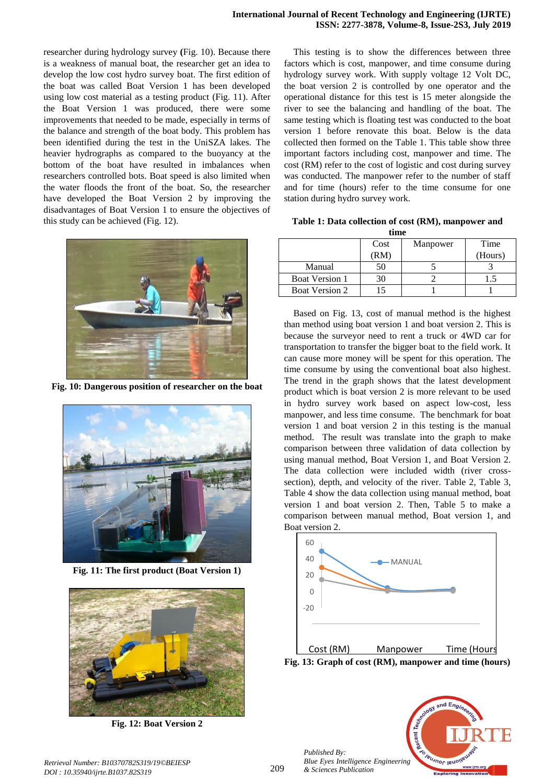researcher during hydrology survey **(**Fig. 10). Because there is a weakness of manual boat, the researcher get an idea to develop the low cost hydro survey boat. The first edition of the boat was called Boat Version 1 has been developed using low cost material as a testing product (Fig. 11). After the Boat Version 1 was produced, there were some improvements that needed to be made, especially in terms of the balance and strength of the boat body. This problem has been identified during the test in the UniSZA lakes. The heavier hydrographs as compared to the buoyancy at the bottom of the boat have resulted in imbalances when researchers controlled bots. Boat speed is also limited when the water floods the front of the boat. So, the researcher have developed the Boat Version 2 by improving the disadvantages of Boat Version 1 to ensure the objectives of this study can be achieved (Fig. 12).



**Fig. 10: Dangerous position of researcher on the boat**



**Fig. 11: The first product (Boat Version 1)**



**Fig. 12: Boat Version 2**

This testing is to show the differences between three factors which is cost, manpower, and time consume during hydrology survey work. With supply voltage 12 Volt DC, the boat version 2 is controlled by one operator and the operational distance for this test is 15 meter alongside the river to see the balancing and handling of the boat. The same testing which is floating test was conducted to the boat version 1 before renovate this boat. Below is the data collected then formed on the Table 1. This table show three important factors including cost, manpower and time. The cost (RM) refer to the cost of logistic and cost during survey was conducted. The manpower refer to the number of staff and for time (hours) refer to the time consume for one station during hydro survey work.

**Table 1: Data collection of cost (RM), manpower and time** 

| ------                |      |          |         |  |  |  |  |
|-----------------------|------|----------|---------|--|--|--|--|
|                       | Cost | Manpower | Time    |  |  |  |  |
|                       | (RM) |          | (Hours) |  |  |  |  |
| Manual                | 50   |          |         |  |  |  |  |
| <b>Boat Version 1</b> | 30   |          |         |  |  |  |  |
| <b>Boat Version 2</b> |      |          |         |  |  |  |  |

Based on Fig. 13, cost of manual method is the highest than method using boat version 1 and boat version 2. This is because the surveyor need to rent a truck or 4WD car for transportation to transfer the bigger boat to the field work. It can cause more money will be spent for this operation. The time consume by using the conventional boat also highest. The trend in the graph shows that the latest development product which is boat version 2 is more relevant to be used in hydro survey work based on aspect low-cost, less manpower, and less time consume. The benchmark for boat version 1 and boat version 2 in this testing is the manual method. The result was translate into the graph to make comparison between three validation of data collection by using manual method, Boat Version 1, and Boat Version 2. The data collection were included width (river crosssection), depth, and velocity of the river. Table 2, Table 3, Table 4 show the data collection using manual method, boat version 1 and boat version 2. Then, Table 5 to make a comparison between manual method, Boat version 1, and Boat version 2.



**Fig. 13: Graph of cost (RM), manpower and time (hours)**



*Published By:*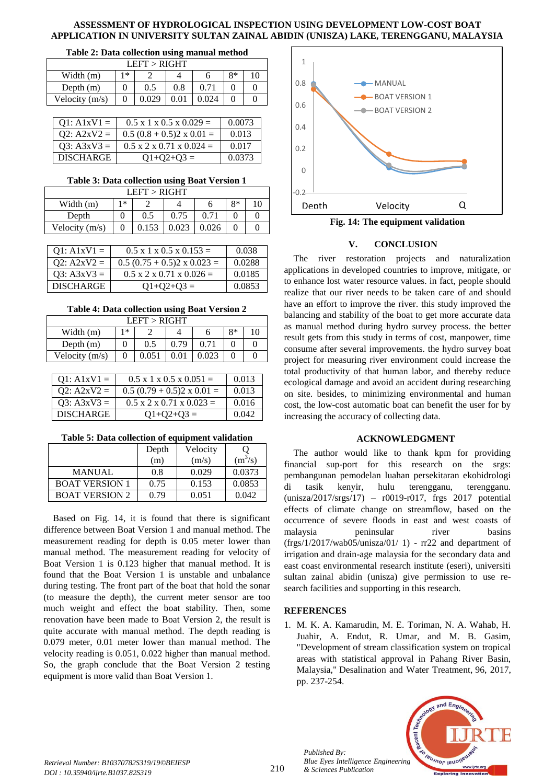#### **Table 2: Data collection using manual method**

| LEFT > RIGHT   |              |       |      |       |  |  |  |
|----------------|--------------|-------|------|-------|--|--|--|
| Width (m)      | $8*$<br>$1*$ |       |      |       |  |  |  |
| Depth $(m)$    |              | 0.5   | 0.8  | 0.71  |  |  |  |
| Velocity (m/s) |              | 0.029 | O 01 | 0.024 |  |  |  |

| $Q1: A1xV1 =$    | $0.5 \times 1 \times 0.5 \times 0.029 =$  | 0.0073 |
|------------------|-------------------------------------------|--------|
| $Q2: A2xV2 =$    | $0.5 (0.8 + 0.5)2 \times 0.01 =$          | 0.013  |
| $Q3: A3xV3 =$    | $0.5 \times 2 \times 0.71 \times 0.024 =$ | 0.017  |
| <b>DISCHARGE</b> | $Q1+Q2+Q3=$                               | 0.0373 |

#### **Table 3: Data collection using Boat Version 1**

| LEFT > RIGHT                                |  |  |  |  |  |  |  |
|---------------------------------------------|--|--|--|--|--|--|--|
| 8*<br>1 *<br>Width (m)                      |  |  |  |  |  |  |  |
| 0.75<br>0.71<br>0.5<br>Depth                |  |  |  |  |  |  |  |
| 0.023<br>0.153<br>0.026<br>Velocity $(m/s)$ |  |  |  |  |  |  |  |

| $Q1: A1xV1 =$    | $0.5 \times 1 \times 0.5 \times 0.153 =$  | 0.038  |
|------------------|-------------------------------------------|--------|
| $Q2: A2xV2 =$    | $0.5 (0.75 + 0.5)2 \times 0.023 =$        | 0.0288 |
| $Q3: A3xV3 =$    | $0.5 \times 2 \times 0.71 \times 0.026 =$ | 0.0185 |
| <b>DISCHARGE</b> | $Q1+Q2+Q3=$                               | 0.0853 |

**Table 4: Data collection using Boat Version 2**

| LEFT > RIGHT                |  |     |      |  |  |  |
|-----------------------------|--|-----|------|--|--|--|
| 8*<br>1*<br>10<br>Width (m) |  |     |      |  |  |  |
| Depth $(m)$                 |  | 0.5 | በ 79 |  |  |  |
| Velocity $(m/s)$            |  |     |      |  |  |  |

| $Q1: A1xV1 =$    | $0.5 \times 1 \times 0.5 \times 0.051 =$  | 0.013 |
|------------------|-------------------------------------------|-------|
| $Q2: A2xV2 =$    | $0.5(0.79 + 0.5)2 \times 0.01 =$          | 0.013 |
| $Q3: A3xV3 =$    | $0.5 \times 2 \times 0.71 \times 0.023 =$ | 0.016 |
| <b>DISCHARGE</b> | $Q1+Q2+Q3=$                               | 0.042 |

| Table 5: Data collection of equipment validation |  |
|--------------------------------------------------|--|
|--------------------------------------------------|--|

|                       | Depth | Velocity |           |
|-----------------------|-------|----------|-----------|
|                       | (m)   | (m/s)    | $(m^3/s)$ |
| MANUAL                | 0.8   | 0.029    | 0.0373    |
| <b>BOAT VERSION 1</b> | 0.75  | 0.153    | 0.0853    |
| <b>BOAT VERSION 2</b> | 0.79  | 0.051    | 0.042     |

Based on Fig. 14, it is found that there is significant difference between Boat Version 1 and manual method. The measurement reading for depth is 0.05 meter lower than manual method. The measurement reading for velocity of Boat Version 1 is 0.123 higher that manual method. It is found that the Boat Version 1 is unstable and unbalance during testing. The front part of the boat that hold the sonar (to measure the depth), the current meter sensor are too much weight and effect the boat stability. Then, some renovation have been made to Boat Version 2, the result is quite accurate with manual method. The depth reading is 0.079 meter, 0.01 meter lower than manual method. The velocity reading is 0.051, 0.022 higher than manual method. So, the graph conclude that the Boat Version 2 testing equipment is more valid than Boat Version 1.



**Fig. 14: The equipment validation**

### **V. CONCLUSION**

The river restoration projects and naturalization applications in developed countries to improve, mitigate, or to enhance lost water resource values. in fact, people should realize that our river needs to be taken care of and should have an effort to improve the river. this study improved the balancing and stability of the boat to get more accurate data as manual method during hydro survey process. the better result gets from this study in terms of cost, manpower, time consume after several improvements. the hydro survey boat project for measuring river environment could increase the total productivity of that human labor, and thereby reduce ecological damage and avoid an accident during researching on site. besides, to minimizing environmental and human cost, the low-cost automatic boat can benefit the user for by increasing the accuracy of collecting data.

### **ACKNOWLEDGMENT**

The author would like to thank kpm for providing financial sup-port for this research on the srgs: pembangunan pemodelan luahan persekitaran ekohidrologi di tasik kenyir, hulu terengganu, terengganu. (unisza/2017/srgs/17) – r0019-r017, frgs 2017 potential effects of climate change on streamflow, based on the occurrence of severe floods in east and west coasts of malaysia peninsular river basins  $(frgs/1/2017/wab05/unisza/01/ 1)$  -  $rr22$  and department of irrigation and drain-age malaysia for the secondary data and east coast environmental research institute (eseri), universiti sultan zainal abidin (unisza) give permission to use research facilities and supporting in this research.

### **REFERENCES**

*Published By:*

*& Sciences Publication* 

1. M. K. A. Kamarudin, M. E. Toriman, N. A. Wahab, H. Juahir, A. Endut, R. Umar, and M. B. Gasim, "Development of stream classification system on tropical areas with statistical approval in Pahang River Basin, Malaysia," Desalination and Water Treatment, 96, 2017, pp. 237-254.



*Retrieval Number: B10370782S319/19©BEIESP DOI : 10.35940/ijrte.B1037.82S319*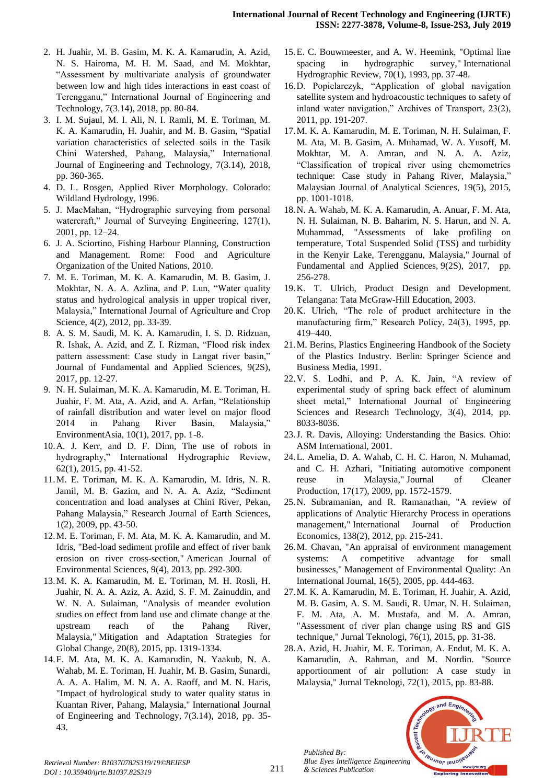- 2. H. Juahir, M. B. Gasim, M. K. A. Kamarudin, A. Azid, N. S. Hairoma, M. H. M. Saad, and M. Mokhtar, "Assessment by multivariate analysis of groundwater between low and high tides interactions in east coast of Terengganu," International Journal of Engineering and Technology, 7(3.14), 2018, pp. 80-84.
- 3. I. M. Sujaul, M. I. Ali, N. I. Ramli, M. E. Toriman, M. K. A. Kamarudin, H. Juahir, and M. B. Gasim, "Spatial variation characteristics of selected soils in the Tasik Chini Watershed, Pahang, Malaysia," International Journal of Engineering and Technology, 7(3.14), 2018, pp. 360-365.
- 4. D. L. Rosgen, Applied River Morphology. Colorado: Wildland Hydrology, 1996.
- 5. J. MacMahan, "Hydrographic surveying from personal watercraft," Journal of Surveying Engineering, 127(1), 2001, pp. 12–24.
- 6. J. A. Sciortino, Fishing Harbour Planning, Construction and Management. Rome: Food and Agriculture Organization of the United Nations, 2010.
- 7. M. E. Toriman, M. K. A. Kamarudin, M. B. Gasim, J. Mokhtar, N. A. A. Azlina, and P. Lun, "Water quality status and hydrological analysis in upper tropical river, Malaysia," International Journal of Agriculture and Crop Science, 4(2), 2012, pp. 33-39.
- 8. A. S. M. Saudi, M. K. A. Kamarudin, I. S. D. Ridzuan, R. Ishak, A. Azid, and Z. I. Rizman, "Flood risk index pattern assessment: Case study in Langat river basin," Journal of Fundamental and Applied Sciences, 9(2S), 2017, pp. 12-27.
- 9. N. H. Sulaiman, M. K. A. Kamarudin, M. E. Toriman, H. Juahir, F. M. Ata, A. Azid, and A. Arfan, "Relationship of rainfall distribution and water level on major flood 2014 in Pahang River Basin, Malaysia," EnvironmentAsia, 10(1), 2017, pp. 1-8.
- 10.A. J. Kerr, and D. F. Dinn, The use of robots in hydrography," International Hydrographic Review, 62(1), 2015, pp. 41-52.
- 11.M. E. Toriman, M. K. A. Kamarudin, M. Idris, N. R. Jamil, M. B. Gazim, and N. A. A. Aziz, "Sediment concentration and load analyses at Chini River, Pekan, Pahang Malaysia," Research Journal of Earth Sciences, 1(2), 2009, pp. 43-50.
- 12.M. E. Toriman, F. M. Ata, M. K. A. Kamarudin, and M. Idris, "Bed-load sediment profile and effect of river bank erosion on river cross-section," American Journal of Environmental Sciences, 9(4), 2013, pp. 292-300.
- 13.M. K. A. Kamarudin, M. E. Toriman, M. H. Rosli, H. Juahir, N. A. A. Aziz, A. Azid, S. F. M. Zainuddin, and W. N. A. Sulaiman, "Analysis of meander evolution studies on effect from land use and climate change at the upstream reach of the Pahang River, Malaysia," Mitigation and Adaptation Strategies for Global Change, 20(8), 2015, pp. 1319-1334.
- 14.F. M. Ata, M. K. A. Kamarudin, N. Yaakub, N. A. Wahab, M. E. Toriman, H. Juahir, M. B. Gasim, Sunardi, A. A. A. Halim, M. N. A. A. Raoff, and M. N. Haris, "Impact of hydrological study to water quality status in Kuantan River, Pahang, Malaysia," International Journal of Engineering and Technology, 7(3.14), 2018, pp. 35- 43.
- 15.E. C. Bouwmeester, and A. W. Heemink, "Optimal line spacing in hydrographic survey," International Hydrographic Review, 70(1), 1993, pp. 37-48.
- 16.D. Popielarczyk, "Application of global navigation satellite system and hydroacoustic techniques to safety of inland water navigation," Archives of Transport, 23(2), 2011, pp. 191-207.
- 17.M. K. A. Kamarudin, M. E. Toriman, N. H. Sulaiman, F. M. Ata, M. B. Gasim, A. Muhamad, W. A. Yusoff, M. Mokhtar, M. A. Amran, and N. A. A. Aziz, "Classification of tropical river using chemometrics technique: Case study in Pahang River, Malaysia," Malaysian Journal of Analytical Sciences, 19(5), 2015, pp. 1001-1018.
- 18.N. A. Wahab, M. K. A. Kamarudin, A. Anuar, F. M. Ata, N. H. Sulaiman, N. B. Baharim, N. S. Harun, and N. A. Muhammad, "Assessments of lake profiling on temperature, Total Suspended Solid (TSS) and turbidity in the Kenyir Lake, Terengganu, Malaysia," Journal of Fundamental and Applied Sciences, 9(2S), 2017, pp. 256-278.
- 19.K. T. Ulrich, Product Design and Development. Telangana: Tata McGraw-Hill Education, 2003.
- 20.K. Ulrich, "The role of product architecture in the manufacturing firm," Research Policy, 24(3), 1995, pp. 419–440.
- 21.M. Berins, Plastics Engineering Handbook of the Society of the Plastics Industry. Berlin: Springer Science and Business Media, 1991.
- 22.V. S. Lodhi, and P. A. K. Jain, "A review of experimental study of spring back effect of aluminum sheet metal," International Journal of Engineering Sciences and Research Technology, 3(4), 2014, pp. 8033-8036.
- 23.J. R. Davis, Alloying: Understanding the Basics. Ohio: ASM International, 2001.
- 24.L. Amelia, D. A. Wahab, C. H. C. Haron, N. Muhamad, and C. H. Azhari, "Initiating automotive component reuse in Malaysia," Journal of Cleaner Production, 17(17), 2009, pp. 1572-1579.
- 25.N. Subramanian, and R. Ramanathan, "A review of applications of Analytic Hierarchy Process in operations management," International Journal of Production Economics, 138(2), 2012, pp. 215-241.
- 26.M. Chavan, "An appraisal of environment management systems: A competitive advantage for small businesses," Management of Environmental Quality: An International Journal, 16(5), 2005, pp. 444-463.
- 27.M. K. A. Kamarudin, M. E. Toriman, H. Juahir, A. Azid, M. B. Gasim, A. S. M. Saudi, R. Umar, N. H. Sulaiman, F. M. Ata, A. M. Mustafa, and M. A. Amran, "Assessment of river plan change using RS and GIS technique," Jurnal Teknologi, 76(1), 2015, pp. 31-38.
- 28.A. Azid, H. Juahir, M. E. Toriman, A. Endut, M. K. A. Kamarudin, A. Rahman, and M. Nordin. "Source apportionment of air pollution: A case study in Malaysia," Jurnal Teknologi, 72(1), 2015, pp. 83-88.



*Retrieval Number: B10370782S319/19©BEIESP DOI : 10.35940/ijrte.B1037.82S319*

*Published By:*